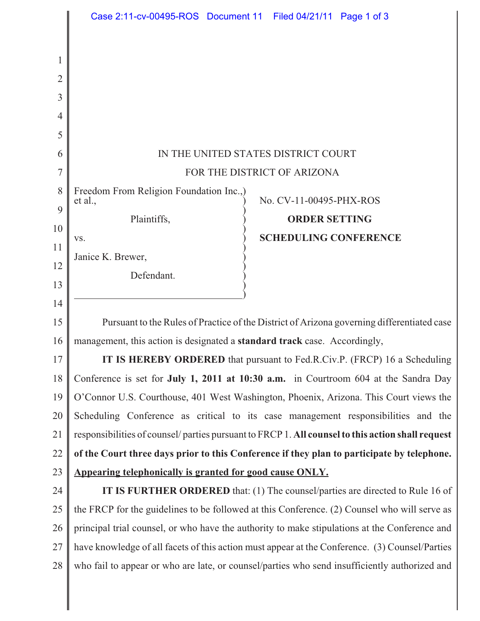|                | Case 2:11-cv-00495-ROS Document 11 Filed 04/21/11 Page 1 of 3                                    |
|----------------|--------------------------------------------------------------------------------------------------|
|                |                                                                                                  |
| 1              |                                                                                                  |
| $\overline{2}$ |                                                                                                  |
| 3              |                                                                                                  |
| 4              |                                                                                                  |
| 5              |                                                                                                  |
| 6              | IN THE UNITED STATES DISTRICT COURT                                                              |
| 7              | FOR THE DISTRICT OF ARIZONA                                                                      |
| 8              | Freedom From Religion Foundation Inc.,)<br>No. CV-11-00495-PHX-ROS<br>et al.,                    |
| 9              | Plaintiffs,<br><b>ORDER SETTING</b>                                                              |
| 10             | <b>SCHEDULING CONFERENCE</b><br>VS.                                                              |
| 11             | Janice K. Brewer,                                                                                |
| 12             | Defendant.                                                                                       |
| 13             |                                                                                                  |
| 14             |                                                                                                  |
| 15             | Pursuant to the Rules of Practice of the District of Arizona governing differentiated case       |
| 16             | management, this action is designated a standard track case. Accordingly,                        |
| 17             | IT IS HEREBY ORDERED that pursuant to Fed.R.Civ.P. (FRCP) 16 a Scheduling                        |
| 18             | Conference is set for July 1, 2011 at 10:30 a.m. in Courtroom 604 at the Sandra Day              |
| 19             | O'Connor U.S. Courthouse, 401 West Washington, Phoenix, Arizona. This Court views the            |
| 20             | Scheduling Conference as critical to its case management responsibilities and the                |
| 21             | responsibilities of counsel/parties pursuant to FRCP 1. All counsel to this action shall request |
| 22             | of the Court three days prior to this Conference if they plan to participate by telephone.       |
| 23             | Appearing telephonically is granted for good cause ONLY.                                         |
| 24             | <b>IT IS FURTHER ORDERED</b> that: (1) The counsel/parties are directed to Rule 16 of            |
| 25             | the FRCP for the guidelines to be followed at this Conference. (2) Counsel who will serve as     |
| 26             | principal trial counsel, or who have the authority to make stipulations at the Conference and    |
| 27             | have knowledge of all facets of this action must appear at the Conference. (3) Counsel/Parties   |
| 28             | who fail to appear or who are late, or counsel/parties who send insufficiently authorized and    |

 $\parallel$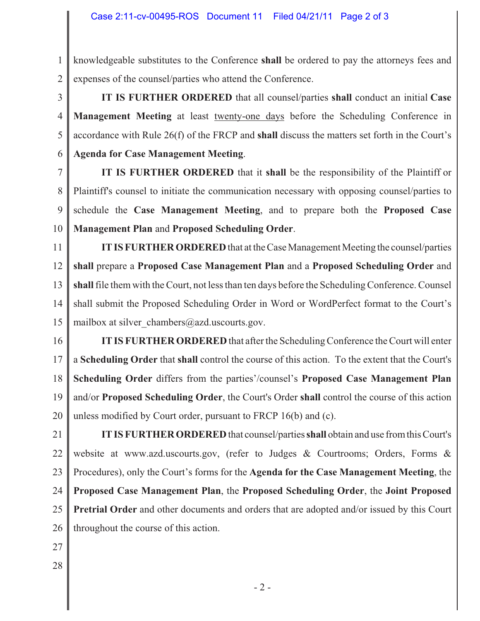1 2 knowledgeable substitutes to the Conference **shall** be ordered to pay the attorneys fees and expenses of the counsel/parties who attend the Conference.

3 4 5 6  **IT IS FURTHER ORDERED** that all counsel/parties **shall** conduct an initial **Case Management Meeting** at least twenty-one days before the Scheduling Conference in accordance with Rule 26(f) of the FRCP and **shall** discuss the matters set forth in the Court's **Agenda for Case Management Meeting**.

7 8 9 10  **IT IS FURTHER ORDERED** that it **shall** be the responsibility of the Plaintiff or Plaintiff's counsel to initiate the communication necessary with opposing counsel/parties to schedule the **Case Management Meeting**, and to prepare both the **Proposed Case Management Plan** and **Proposed Scheduling Order**.

11 12 13 14 15 **IT IS FURTHER ORDERED** that at the Case Management Meeting the counsel/parties **shall** prepare a **Proposed Case Management Plan** and a **Proposed Scheduling Order** and **shall** file them with the Court, not less than ten days before the Scheduling Conference. Counsel shall submit the Proposed Scheduling Order in Word or WordPerfect format to the Court's mailbox at silver chambers@azd.uscourts.gov.

16 17 18 19 20 **IT IS FURTHER ORDERED** that after the Scheduling Conference the Court will enter a **Scheduling Order** that **shall** control the course of this action. To the extent that the Court's **Scheduling Order** differs from the parties'/counsel's **Proposed Case Management Plan** and/or **Proposed Scheduling Order**, the Court's Order **shall** control the course of this action unless modified by Court order, pursuant to FRCP 16(b) and (c).

21 22 23 24 25 26 **IT IS FURTHER ORDERED** that counsel/parties **shall** obtain and use from this Court's website at www.azd.uscourts.gov, (refer to Judges & Courtrooms; Orders, Forms & Procedures), only the Court's forms for the **Agenda for the Case Management Meeting**, the **Proposed Case Management Plan**, the **Proposed Scheduling Order**, the **Joint Proposed Pretrial Order** and other documents and orders that are adopted and/or issued by this Court throughout the course of this action.

- 27
- 28